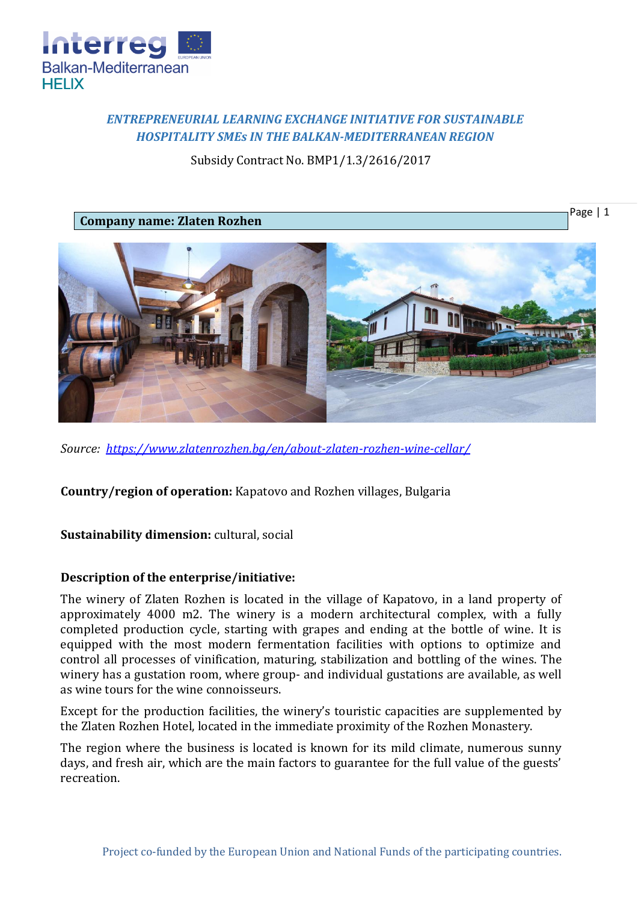

# *ENTREPRENEURIAL LEARNING EXCHANGE INITIATIVE FOR SUSTAINABLE HOSPITALITY SMEs IN THE BALKAN-MEDITERRANEAN REGION*

Subsidy Contract No. BMP1/1.3/2616/2017

**Company name: Zlaten Rozhen**



Page | 1

*Source: <https://www.zlatenrozhen.bg/en/about-zlaten-rozhen-wine-cellar/>*

**Country/region of operation:** Kapatovo and Rozhen villages, Bulgaria

# **Sustainability dimension:** cultural, social

## **Description of the enterprise/initiative:**

The winery of Zlaten Rozhen is located in the village of Kapatovo, in a land property of approximately 4000 m2. The winery is a modern architectural complex, with a fully completed production cycle, starting with grapes and ending at the bottle of wine. It is equipped with the most modern fermentation facilities with options to optimize and control all processes of vinification, maturing, stabilization and bottling of the wines. The winery has a gustation room, where group- and individual gustations are available, as well as wine tours for the wine connoisseurs.

Except for the production facilities, the winery's touristic capacities are supplemented by the Zlaten Rozhen Hotel, located in the immediate proximity of the Rozhen Monastery.

The region where the business is located is known for its mild climate, numerous sunny days, and fresh air, which are the main factors to guarantee for the full value of the guests' recreation.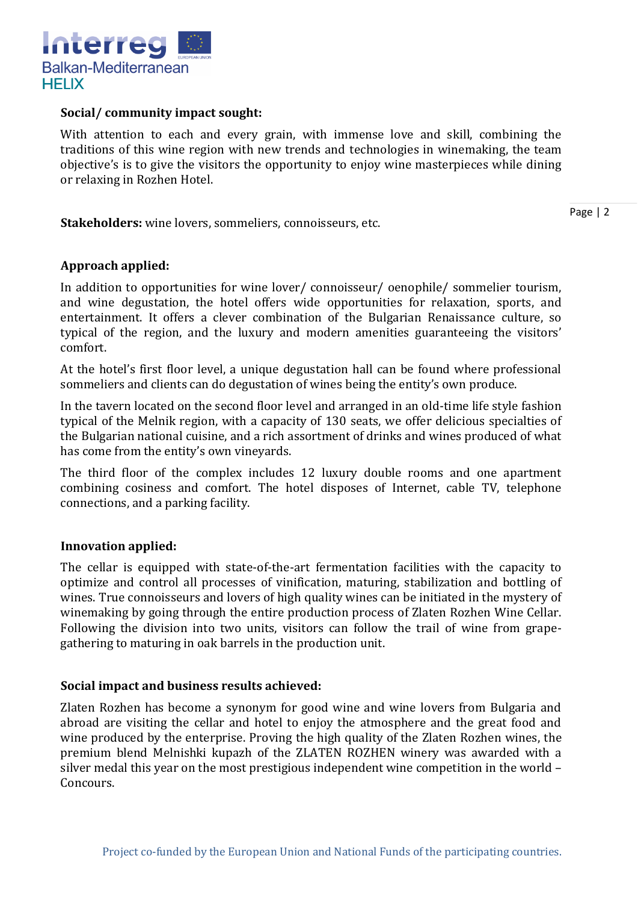

#### **Social/ community impact sought:**

With attention to each and every grain, with immense love and skill, combining the traditions of this wine region with new trends and technologies in winemaking, the team objective's is to give the visitors the opportunity to enjoy wine masterpieces while dining or relaxing in Rozhen Hotel.

**Stakeholders:** wine lovers, sommeliers, connoisseurs, etc.

Page | 2

## **Approach applied:**

In addition to opportunities for wine lover/ connoisseur/ oenophile/ sommelier tourism, and wine degustation, the hotel offers wide opportunities for relaxation, sports, and entertainment. It offers a clever combination of the Bulgarian Renaissance culture, so typical of the region, and the luxury and modern amenities guaranteeing the visitors' comfort.

At the hotel's first floor level, a unique degustation hall can be found where professional sommeliers and clients can do degustation of wines being the entity's own produce.

In the tavern located on the second floor level and arranged in an old-time life style fashion typical of the Melnik region, with a capacity of 130 seats, we offer delicious specialties of the Bulgarian national cuisine, and a rich assortment of drinks and wines produced of what has come from the entity's own vineyards.

The third floor of the complex includes 12 luxury double rooms and one apartment combining cosiness and comfort. The hotel disposes of Internet, cable TV, telephone connections, and a parking facility.

## **Innovation applied:**

The cellar is equipped with state-of-the-art fermentation facilities with the capacity to optimize and control all processes of vinification, maturing, stabilization and bottling of wines. True connoisseurs and lovers of high quality wines can be initiated in the mystery of winemaking by going through the entire production process of Zlaten Rozhen Wine Cellar. Following the division into two units, visitors can follow the trail of wine from grapegathering to maturing in oak barrels in the production unit.

#### **Social impact and business results achieved:**

Zlaten Rozhen has become a synonym for good wine and wine lovers from Bulgaria and abroad are visiting the cellar and hotel to enjoy the atmosphere and the great food and wine produced by the enterprise. Proving the high quality of the Zlaten Rozhen wines, the premium blend Melnishki kupazh of the ZLATEN ROZHEN winery was awarded with a silver medal this year on the most prestigious independent wine competition in the world – Concours.